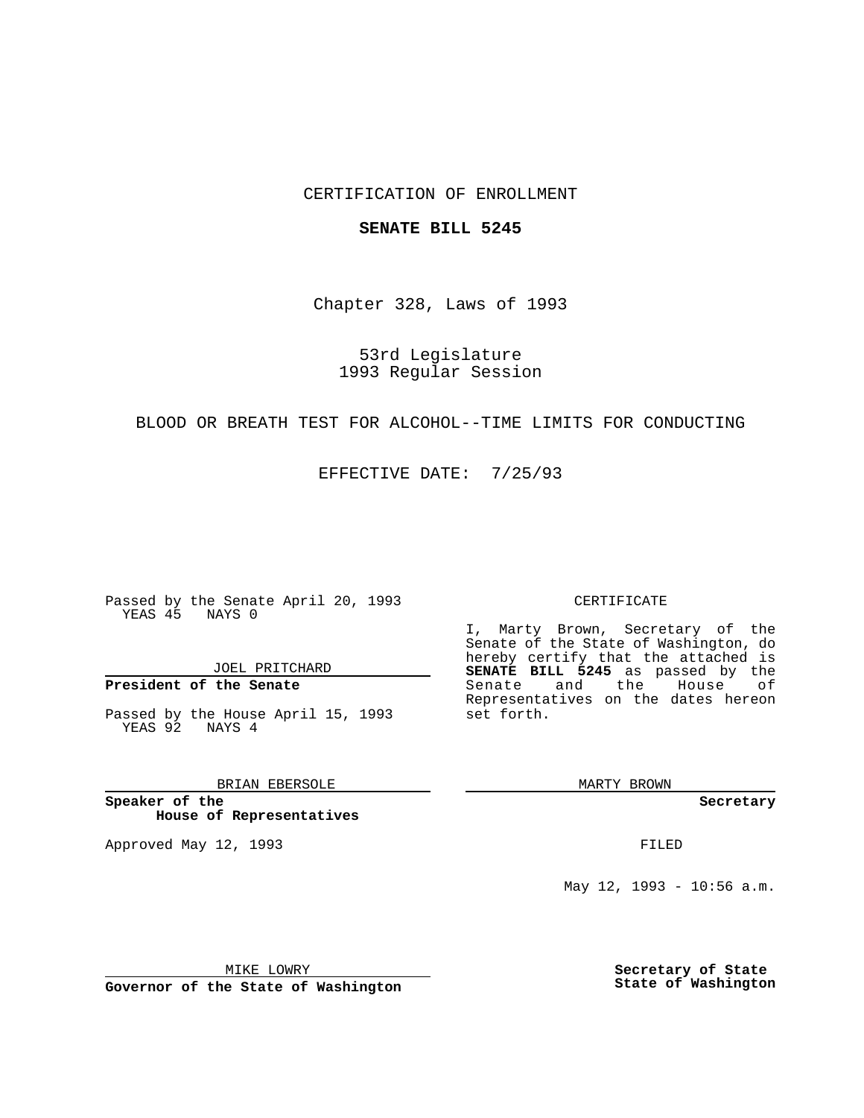## CERTIFICATION OF ENROLLMENT

### **SENATE BILL 5245**

Chapter 328, Laws of 1993

53rd Legislature 1993 Regular Session

## BLOOD OR BREATH TEST FOR ALCOHOL--TIME LIMITS FOR CONDUCTING

EFFECTIVE DATE: 7/25/93

Passed by the Senate April 20, 1993 YEAS 45 NAYS 0

JOEL PRITCHARD

**President of the Senate**

Passed by the House April 15, 1993 YEAS 92 NAYS 4

BRIAN EBERSOLE

**Speaker of the House of Representatives**

Approved May 12, 1993 **FILED** 

#### CERTIFICATE

I, Marty Brown, Secretary of the Senate of the State of Washington, do hereby certify that the attached is **SENATE BILL 5245** as passed by the Senate and the House of Representatives on the dates hereon set forth.

MARTY BROWN

**Secretary**

May 12, 1993 - 10:56 a.m.

MIKE LOWRY

**Governor of the State of Washington**

**Secretary of State State of Washington**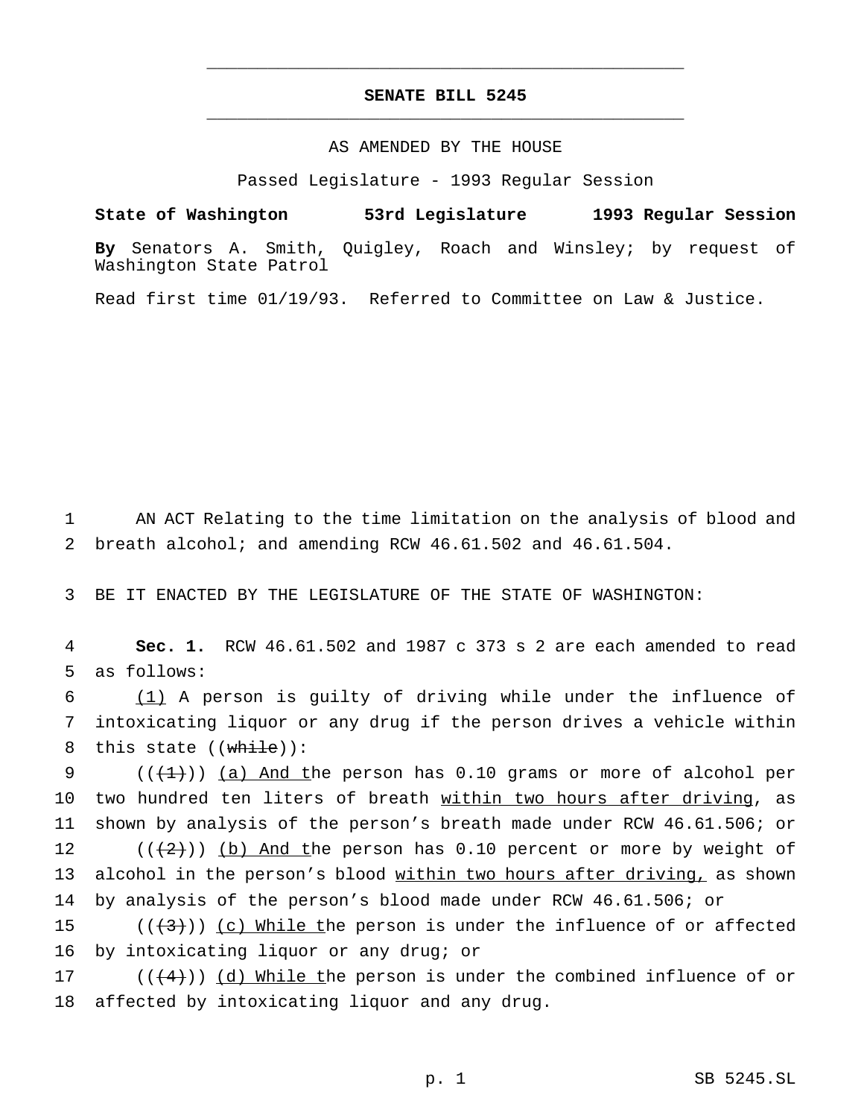# **SENATE BILL 5245** \_\_\_\_\_\_\_\_\_\_\_\_\_\_\_\_\_\_\_\_\_\_\_\_\_\_\_\_\_\_\_\_\_\_\_\_\_\_\_\_\_\_\_\_\_\_\_

\_\_\_\_\_\_\_\_\_\_\_\_\_\_\_\_\_\_\_\_\_\_\_\_\_\_\_\_\_\_\_\_\_\_\_\_\_\_\_\_\_\_\_\_\_\_\_

## AS AMENDED BY THE HOUSE

Passed Legislature - 1993 Regular Session

**State of Washington 53rd Legislature 1993 Regular Session**

**By** Senators A. Smith, Quigley, Roach and Winsley; by request of Washington State Patrol

Read first time 01/19/93. Referred to Committee on Law & Justice.

1 AN ACT Relating to the time limitation on the analysis of blood and 2 breath alcohol; and amending RCW 46.61.502 and 46.61.504.

3 BE IT ENACTED BY THE LEGISLATURE OF THE STATE OF WASHINGTON:

4 **Sec. 1.** RCW 46.61.502 and 1987 c 373 s 2 are each amended to read 5 as follows:

6 (1) A person is guilty of driving while under the influence of 7 intoxicating liquor or any drug if the person drives a vehicle within 8 this state  $((\text{while}))$ :

 $((+1))$  (a) And the person has 0.10 grams or more of alcohol per 10 two hundred ten liters of breath within two hours after driving, as shown by analysis of the person's breath made under RCW 46.61.506; or  $((2))$  (b) And the person has 0.10 percent or more by weight of 13 alcohol in the person's blood within two hours after driving, as shown by analysis of the person's blood made under RCW 46.61.506; or

15  $((+3))$  (c) While the person is under the influence of or affected 16 by intoxicating liquor or any drug; or

17 ( $(\frac{4}{4})$ ) (d) While the person is under the combined influence of or 18 affected by intoxicating liquor and any drug.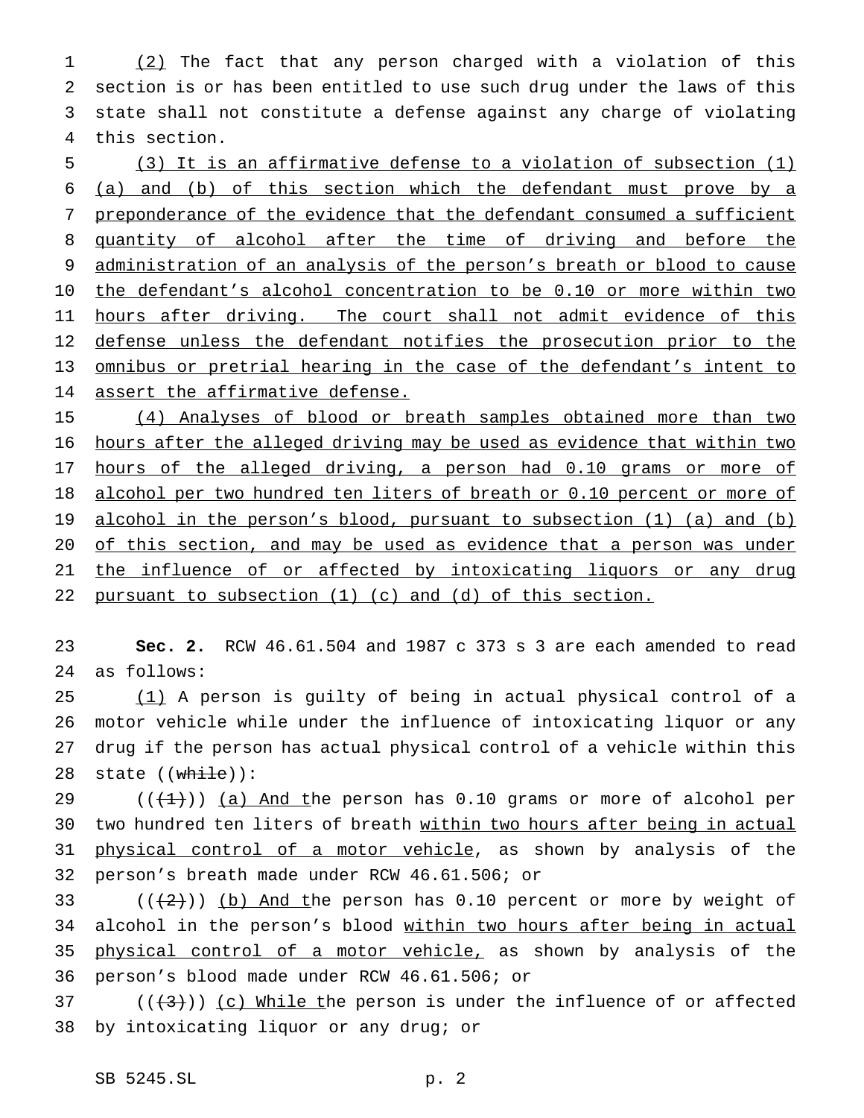(2) The fact that any person charged with a violation of this section is or has been entitled to use such drug under the laws of this state shall not constitute a defense against any charge of violating this section.

5 (3) It is an affirmative defense to a violation of subsection (1) 6 (a) and (b) of this section which the defendant must prove by a 7 preponderance of the evidence that the defendant consumed a sufficient 8 quantity of alcohol after the time of driving and before the 9 administration of an analysis of the person's breath or blood to cause 10 the defendant's alcohol concentration to be 0.10 or more within two 11 hours after driving. The court shall not admit evidence of this 12 defense unless the defendant notifies the prosecution prior to the 13 omnibus or pretrial hearing in the case of the defendant's intent to 14 assert the affirmative defense.

 (4) Analyses of blood or breath samples obtained more than two hours after the alleged driving may be used as evidence that within two 17 hours of the alleged driving, a person had 0.10 grams or more of 18 alcohol per two hundred ten liters of breath or 0.10 percent or more of alcohol in the person's blood, pursuant to subsection (1) (a) and (b) of this section, and may be used as evidence that a person was under 21 the influence of or affected by intoxicating liquors or any drug pursuant to subsection (1) (c) and (d) of this section.

23 **Sec. 2.** RCW 46.61.504 and 1987 c 373 s 3 are each amended to read 24 as follows:

 (1) A person is guilty of being in actual physical control of a motor vehicle while under the influence of intoxicating liquor or any drug if the person has actual physical control of a vehicle within this 28 state  $(\overline{\text{while}}))$ :

29  $((+1))$  (a) And the person has 0.10 grams or more of alcohol per 30 two hundred ten liters of breath within two hours after being in actual 31 physical control of a motor vehicle, as shown by analysis of the 32 person's breath made under RCW 46.61.506; or

33 ( $(\frac{2}{3})$ ) (b) And the person has 0.10 percent or more by weight of 34 alcohol in the person's blood within two hours after being in actual 35 physical control of a motor vehicle, as shown by analysis of the 36 person's blood made under RCW 46.61.506; or

37 ( $(\frac{1}{3})$ ) (c) While the person is under the influence of or affected 38 by intoxicating liquor or any drug; or